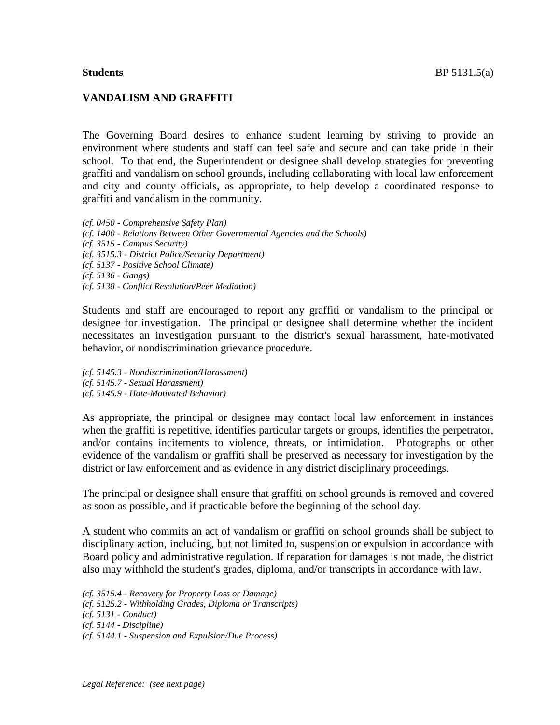## **VANDALISM AND GRAFFITI**

The Governing Board desires to enhance student learning by striving to provide an environment where students and staff can feel safe and secure and can take pride in their school. To that end, the Superintendent or designee shall develop strategies for preventing graffiti and vandalism on school grounds, including collaborating with local law enforcement and city and county officials, as appropriate, to help develop a coordinated response to graffiti and vandalism in the community.

*(cf. 0450 - Comprehensive Safety Plan) (cf. 1400 - Relations Between Other Governmental Agencies and the Schools) (cf. 3515 - Campus Security) (cf. 3515.3 - District Police/Security Department) (cf. 5137 - Positive School Climate) (cf. 5136 - Gangs) (cf. 5138 - Conflict Resolution/Peer Mediation)*

Students and staff are encouraged to report any graffiti or vandalism to the principal or designee for investigation. The principal or designee shall determine whether the incident necessitates an investigation pursuant to the district's sexual harassment, hate-motivated behavior, or nondiscrimination grievance procedure.

*(cf. 5145.3 - Nondiscrimination/Harassment) (cf. 5145.7 - Sexual Harassment) (cf. 5145.9 - Hate-Motivated Behavior)*

As appropriate, the principal or designee may contact local law enforcement in instances when the graffiti is repetitive, identifies particular targets or groups, identifies the perpetrator, and/or contains incitements to violence, threats, or intimidation. Photographs or other evidence of the vandalism or graffiti shall be preserved as necessary for investigation by the district or law enforcement and as evidence in any district disciplinary proceedings.

The principal or designee shall ensure that graffiti on school grounds is removed and covered as soon as possible, and if practicable before the beginning of the school day.

A student who commits an act of vandalism or graffiti on school grounds shall be subject to disciplinary action, including, but not limited to, suspension or expulsion in accordance with Board policy and administrative regulation. If reparation for damages is not made, the district also may withhold the student's grades, diploma, and/or transcripts in accordance with law.

*(cf. 3515.4 - Recovery for Property Loss or Damage) (cf. 5125.2 - Withholding Grades, Diploma or Transcripts) (cf. 5131 - Conduct) (cf. 5144 - Discipline) (cf. 5144.1 - Suspension and Expulsion/Due Process)*